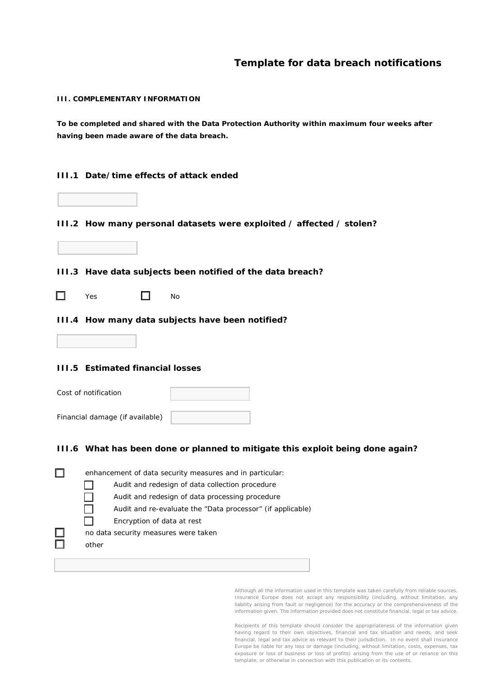# **Template for data breach notifications**

#### **III. COMPLEMENTARY INFORMATION**

*To be completed and shared with the Data Protection Authority within maximum four weeks after having been made aware of the data breach.* 

#### **III.1 Date/time effects of attack ended**



## **III.2 How many personal datasets were exploited / affected / stolen?**



#### **III.3 Have data subjects been notified of the data breach?**

☐ Yes ☐ No

### **III.4 How many data subjects have been notified?**

### **III.5 Estimated financial losses**

| Cost of notification            |  |
|---------------------------------|--|
|                                 |  |
| Financial damage (if available) |  |

### **III.6 What has been done or planned to mitigate this exploit being done again?**

|       | enhancement of data security measures and in particular:   |
|-------|------------------------------------------------------------|
|       | Audit and redesign of data collection procedure            |
|       | Audit and redesign of data processing procedure            |
|       | Audit and re-evaluate the "Data processor" (if applicable) |
|       | Encryption of data at rest                                 |
|       | no data security measures were taken                       |
| other |                                                            |

Although all the information used in this template was taken carefully from reliable sources, Insurance Europe does not accept any responsibility (including, without limitation, any liability arising from fault or negligence) for the accuracy or the comprehensiveness of the information given. The information provided does not constitute financial, legal or tax advice.

Recipients of this template should consider the appropriateness of the information given having regard to their own objectives, financial and tax situation and needs, and seek financial, legal and tax advice as relevant to their jurisdiction. In no event shall Insurance Europe be liable for any loss or damage (including, without limitation, costs, expenses, tax exposure or loss of business or loss of profits) arising from the use of or reliance on this template, or otherwise in connection with this publication or its contents.